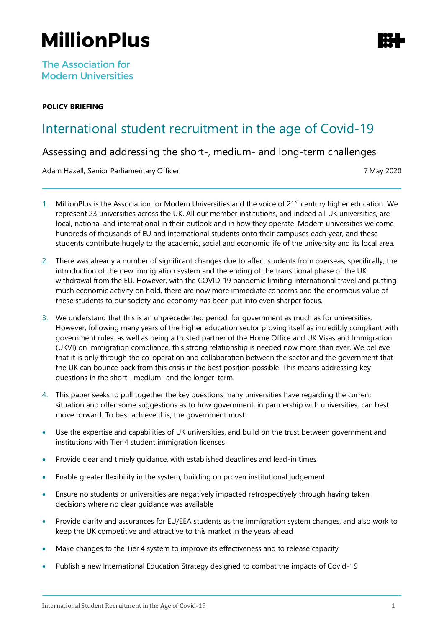# **MillionPlus**

## **POLICY BRIEFING**

## International student recruitment in the age of Covid-19

Assessing and addressing the short-, medium- and long-term challenges

Adam Haxell, Senior Parliamentary Officer 7 May 2020

- 1. MillionPlus is the Association for Modern Universities and the voice of 21<sup>st</sup> century higher education. We represent 23 universities across the UK. All our member institutions, and indeed all UK universities, are local, national and international in their outlook and in how they operate. Modern universities welcome hundreds of thousands of EU and international students onto their campuses each year, and these students contribute hugely to the academic, social and economic life of the university and its local area.
- 2. There was already a number of significant changes due to affect students from overseas, specifically, the introduction of the new immigration system and the ending of the transitional phase of the UK withdrawal from the EU. However, with the COVID-19 pandemic limiting international travel and putting much economic activity on hold, there are now more immediate concerns and the enormous value of these students to our society and economy has been put into even sharper focus.
- 3. We understand that this is an unprecedented period, for government as much as for universities. However, following many years of the higher education sector proving itself as incredibly compliant with government rules, as well as being a trusted partner of the Home Office and UK Visas and Immigration (UKVI) on immigration compliance, this strong relationship is needed now more than ever. We believe that it is only through the co-operation and collaboration between the sector and the government that the UK can bounce back from this crisis in the best position possible. This means addressing key questions in the short-, medium- and the longer-term.
- 4. This paper seeks to pull together the key questions many universities have regarding the current situation and offer some suggestions as to how government, in partnership with universities, can best move forward. To best achieve this, the government must:
- Use the expertise and capabilities of UK universities, and build on the trust between government and institutions with Tier 4 student immigration licenses
- Provide clear and timely guidance, with established deadlines and lead-in times
- Enable greater flexibility in the system, building on proven institutional judgement
- Ensure no students or universities are negatively impacted retrospectively through having taken decisions where no clear guidance was available
- Provide clarity and assurances for EU/EEA students as the immigration system changes, and also work to keep the UK competitive and attractive to this market in the years ahead
- Make changes to the Tier 4 system to improve its effectiveness and to release capacity
- Publish a new International Education Strategy designed to combat the impacts of Covid-19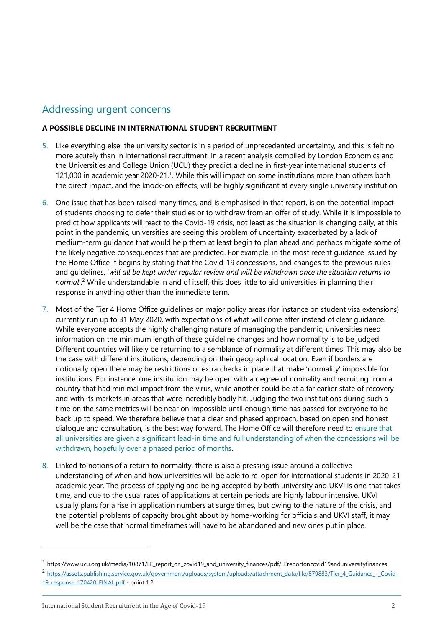## Addressing urgent concerns

#### **A POSSIBLE DECLINE IN INTERNATIONAL STUDENT RECRUITMENT**

- 5. Like everything else, the university sector is in a period of unprecedented uncertainty, and this is felt no more acutely than in international recruitment. In a recent analysis compiled by London Economics and the Universities and College Union (UCU) they predict a decline in first-year international students of 121,000 in academic year 2020-21.<sup>1</sup>. While this will impact on some institutions more than others both the direct impact, and the knock-on effects, will be highly significant at every single university institution.
- 6. One issue that has been raised many times, and is emphasised in that report, is on the potential impact of students choosing to defer their studies or to withdraw from an offer of study. While it is impossible to predict how applicants will react to the Covid-19 crisis, not least as the situation is changing daily, at this point in the pandemic, universities are seeing this problem of uncertainty exacerbated by a lack of medium-term guidance that would help them at least begin to plan ahead and perhaps mitigate some of the likely negative consequences that are predicted. For example, in the most recent guidance issued by the Home Office it begins by stating that the Covid-19 concessions, and changes to the previous rules and guidelines, '*will all be kept under regular review and will be withdrawn once the situation returns to normal*'.<sup>2</sup> While understandable in and of itself, this does little to aid universities in planning their response in anything other than the immediate term.
- 7. Most of the Tier 4 Home Office guidelines on major policy areas (for instance on student visa extensions) currently run up to 31 May 2020, with expectations of what will come after instead of clear guidance. While everyone accepts the highly challenging nature of managing the pandemic, universities need information on the minimum length of these guideline changes and how normality is to be judged. Different countries will likely be returning to a semblance of normality at different times. This may also be the case with different institutions, depending on their geographical location. Even if borders are notionally open there may be restrictions or extra checks in place that make 'normality' impossible for institutions. For instance, one institution may be open with a degree of normality and recruiting from a country that had minimal impact from the virus, while another could be at a far earlier state of recovery and with its markets in areas that were incredibly badly hit. Judging the two institutions during such a time on the same metrics will be near on impossible until enough time has passed for everyone to be back up to speed. We therefore believe that a clear and phased approach, based on open and honest dialogue and consultation, is the best way forward. The Home Office will therefore need to ensure that all universities are given a significant lead-in time and full understanding of when the concessions will be withdrawn, hopefully over a phased period of months.
- 8. Linked to notions of a return to normality, there is also a pressing issue around a collective understanding of when and how universities will be able to re-open for international students in 2020-21 academic year. The process of applying and being accepted by both university and UKVI is one that takes time, and due to the usual rates of applications at certain periods are highly labour intensive. UKVI usually plans for a rise in application numbers at surge times, but owing to the nature of the crisis, and the potential problems of capacity brought about by home-working for officials and UKVI staff, it may well be the case that normal timeframes will have to be abandoned and new ones put in place.

<sup>&</sup>lt;sup>1</sup> https://www.ucu.org.uk/media/10871/LE\_report\_on\_covid19\_and\_university\_finances/pdf/LEreportoncovid19anduniversityfinances

<sup>2</sup> [https://assets.publishing.service.gov.uk/government/uploads/system/uploads/attachment\\_data/file/879883/Tier\\_4\\_Guidance\\_](https://assets.publishing.service.gov.uk/government/uploads/system/uploads/attachment_data/file/879883/Tier_4_Guidance_-_Covid-19_response_170420_FINAL.pdf) -\_Covid-[19\\_response\\_170420\\_FINAL.pdf](https://assets.publishing.service.gov.uk/government/uploads/system/uploads/attachment_data/file/879883/Tier_4_Guidance_-_Covid-19_response_170420_FINAL.pdf) - point 1.2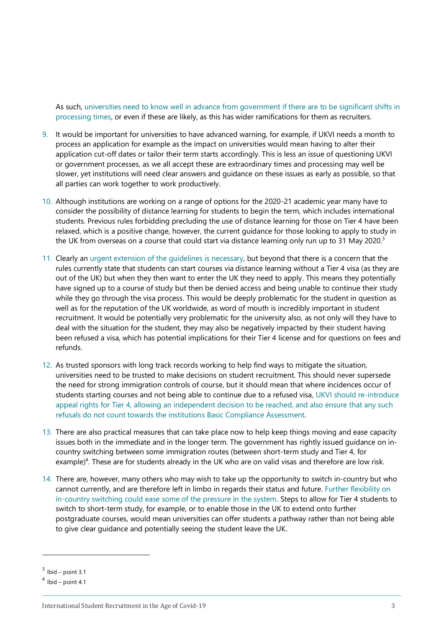As such, universities need to know well in advance from government if there are to be significant shifts in processing times, or even if these are likely, as this has wider ramifications for them as recruiters.

- 9. It would be important for universities to have advanced warning, for example, if UKVI needs a month to process an application for example as the impact on universities would mean having to alter their application cut-off dates or tailor their term starts accordingly. This is less an issue of questioning UKVI or government processes, as we all accept these are extraordinary times and processing may well be slower, yet institutions will need clear answers and guidance on these issues as early as possible, so that all parties can work together to work productively.
- 10. Although institutions are working on a range of options for the 2020-21 academic year many have to consider the possibility of distance learning for students to begin the term, which includes international students. Previous rules forbidding precluding the use of distance learning for those on Tier 4 have been relaxed, which is a positive change, however, the current guidance for those looking to apply to study in the UK from overseas on a course that could start via distance learning only run up to 31 May 2020.<sup>3</sup>
- 11. Clearly an urgent extension of the guidelines is necessary, but beyond that there is a concern that the rules currently state that students can start courses via distance learning without a Tier 4 visa (as they are out of the UK) but when they then want to enter the UK they need to apply. This means they potentially have signed up to a course of study but then be denied access and being unable to continue their study while they go through the visa process. This would be deeply problematic for the student in question as well as for the reputation of the UK worldwide, as word of mouth is incredibly important in student recruitment. It would be potentially very problematic for the university also, as not only will they have to deal with the situation for the student, they may also be negatively impacted by their student having been refused a visa, which has potential implications for their Tier 4 license and for questions on fees and refunds.
- 12. As trusted sponsors with long track records working to help find ways to mitigate the situation, universities need to be trusted to make decisions on student recruitment. This should never supersede the need for strong immigration controls of course, but it should mean that where incidences occur of students starting courses and not being able to continue due to a refused visa, UKVI should re-introduce appeal rights for Tier 4, allowing an independent decision to be reached, and also ensure that any such refusals do not count towards the institutions Basic Compliance Assessment.
- 13. There are also practical measures that can take place now to help keep things moving and ease capacity issues both in the immediate and in the longer term. The government has rightly issued guidance on incountry switching between some immigration routes (between short-term study and Tier 4, for example)<sup>4</sup>. These are for students already in the UK who are on valid visas and therefore are low risk.
- 14. There are, however, many others who may wish to take up the opportunity to switch in-country but who cannot currently, and are therefore left in limbo in regards their status and future. Further flexibility on in-country switching could ease some of the pressure in the system. Steps to allow for Tier 4 students to switch to short-term study, for example, or to enable those in the UK to extend onto further postgraduate courses, would mean universities can offer students a pathway rather than not being able to give clear guidance and potentially seeing the student leave the UK.

 $3$  Ibid – point 3.1

 $<sup>4</sup>$  Ibid – point 4.1</sup>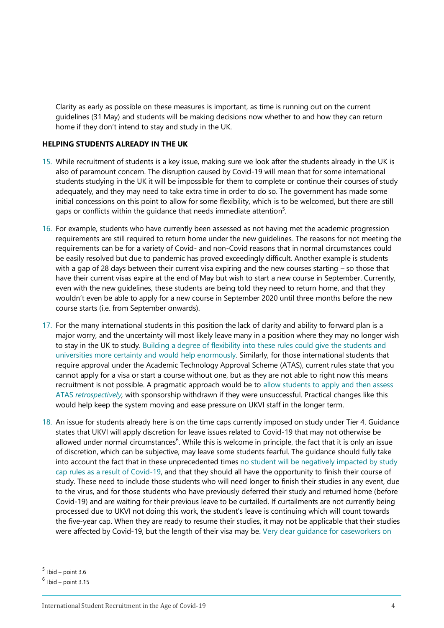Clarity as early as possible on these measures is important, as time is running out on the current guidelines (31 May) and students will be making decisions now whether to and how they can return home if they don't intend to stay and study in the UK.

#### **HELPING STUDENTS ALREADY IN THE UK**

- 15. While recruitment of students is a key issue, making sure we look after the students already in the UK is also of paramount concern. The disruption caused by Covid-19 will mean that for some international students studying in the UK it will be impossible for them to complete or continue their courses of study adequately, and they may need to take extra time in order to do so. The government has made some initial concessions on this point to allow for some flexibility, which is to be welcomed, but there are still gaps or conflicts within the guidance that needs immediate attention $5$ .
- 16. For example, students who have currently been assessed as not having met the academic progression requirements are still required to return home under the new guidelines. The reasons for not meeting the requirements can be for a variety of Covid- and non-Covid reasons that in normal circumstances could be easily resolved but due to pandemic has proved exceedingly difficult. Another example is students with a gap of 28 days between their current visa expiring and the new courses starting – so those that have their current visas expire at the end of May but wish to start a new course in September. Currently, even with the new guidelines, these students are being told they need to return home, and that they wouldn't even be able to apply for a new course in September 2020 until three months before the new course starts (i.e. from September onwards).
- 17. For the many international students in this position the lack of clarity and ability to forward plan is a major worry, and the uncertainty will most likely leave many in a position where they may no longer wish to stay in the UK to study. Building a degree of flexibility into these rules could give the students and universities more certainty and would help enormously. Similarly, for those international students that require approval under the Academic Technology Approval Scheme (ATAS), current rules state that you cannot apply for a visa or start a course without one, but as they are not able to right now this means recruitment is not possible. A pragmatic approach would be to allow students to apply and then assess ATAS *retrospectively,* with sponsorship withdrawn if they were unsuccessful. Practical changes like this would help keep the system moving and ease pressure on UKVI staff in the longer term.
- 18. An issue for students already here is on the time caps currently imposed on study under Tier 4. Guidance states that UKVI will apply discretion for leave issues related to Covid-19 that may not otherwise be allowed under normal circumstances<sup>6</sup>. While this is welcome in principle, the fact that it is only an issue of discretion, which can be subjective, may leave some students fearful. The guidance should fully take into account the fact that in these unprecedented times no student will be negatively impacted by study cap rules as a result of Covid-19, and that they should all have the opportunity to finish their course of study. These need to include those students who will need longer to finish their studies in any event, due to the virus, and for those students who have previously deferred their study and returned home (before Covid-19) and are waiting for their previous leave to be curtailed. If curtailments are not currently being processed due to UKVI not doing this work, the student's leave is continuing which will count towards the five-year cap. When they are ready to resume their studies, it may not be applicable that their studies were affected by Covid-19, but the length of their visa may be. Very clear guidance for caseworkers on

 $<sup>5</sup>$  Ibid – point 3.6</sup>

 $<sup>6</sup>$  Ibid – point 3.15</sup>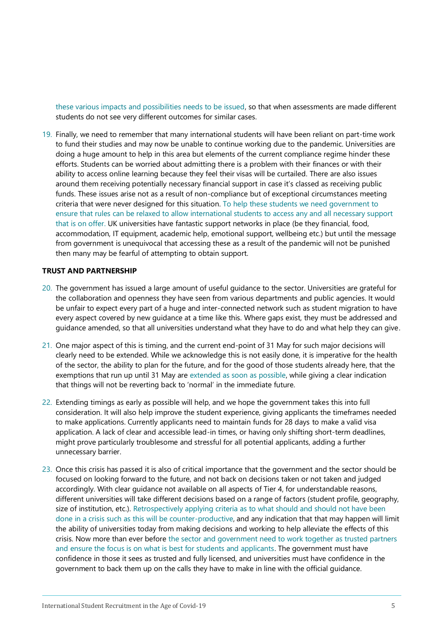these various impacts and possibilities needs to be issued, so that when assessments are made different students do not see very different outcomes for similar cases.

19. Finally, we need to remember that many international students will have been reliant on part-time work to fund their studies and may now be unable to continue working due to the pandemic. Universities are doing a huge amount to help in this area but elements of the current compliance regime hinder these efforts. Students can be worried about admitting there is a problem with their finances or with their ability to access online learning because they feel their visas will be curtailed. There are also issues around them receiving potentially necessary financial support in case it's classed as receiving public funds. These issues arise not as a result of non-compliance but of exceptional circumstances meeting criteria that were never designed for this situation. To help these students we need government to ensure that rules can be relaxed to allow international students to access any and all necessary support that is on offer. UK universities have fantastic support networks in place (be they financial, food, accommodation, IT equipment, academic help, emotional support, wellbeing etc.) but until the message from government is unequivocal that accessing these as a result of the pandemic will not be punished then many may be fearful of attempting to obtain support.

#### **TRUST AND PARTNERSHIP**

- 20. The government has issued a large amount of useful guidance to the sector. Universities are grateful for the collaboration and openness they have seen from various departments and public agencies. It would be unfair to expect every part of a huge and inter-connected network such as student migration to have every aspect covered by new guidance at a time like this. Where gaps exist, they must be addressed and guidance amended, so that all universities understand what they have to do and what help they can give.
- 21. One major aspect of this is timing, and the current end-point of 31 May for such major decisions will clearly need to be extended. While we acknowledge this is not easily done, it is imperative for the health of the sector, the ability to plan for the future, and for the good of those students already here, that the exemptions that run up until 31 May are extended as soon as possible, while giving a clear indication that things will not be reverting back to 'normal' in the immediate future.
- 22. Extending timings as early as possible will help, and we hope the government takes this into full consideration. It will also help improve the student experience, giving applicants the timeframes needed to make applications. Currently applicants need to maintain funds for 28 days to make a valid visa application. A lack of clear and accessible lead-in times, or having only shifting short-term deadlines, might prove particularly troublesome and stressful for all potential applicants, adding a further unnecessary barrier.
- 23. Once this crisis has passed it is also of critical importance that the government and the sector should be focused on looking forward to the future, and not back on decisions taken or not taken and judged accordingly. With clear guidance not available on all aspects of Tier 4, for understandable reasons, different universities will take different decisions based on a range of factors (student profile, geography, size of institution, etc.). Retrospectively applying criteria as to what should and should not have been done in a crisis such as this will be counter-productive, and any indication that that may happen will limit the ability of universities today from making decisions and working to help alleviate the effects of this crisis. Now more than ever before the sector and government need to work together as trusted partners and ensure the focus is on what is best for students and applicants. The government must have confidence in those it sees as trusted and fully licensed, and universities must have confidence in the government to back them up on the calls they have to make in line with the official guidance.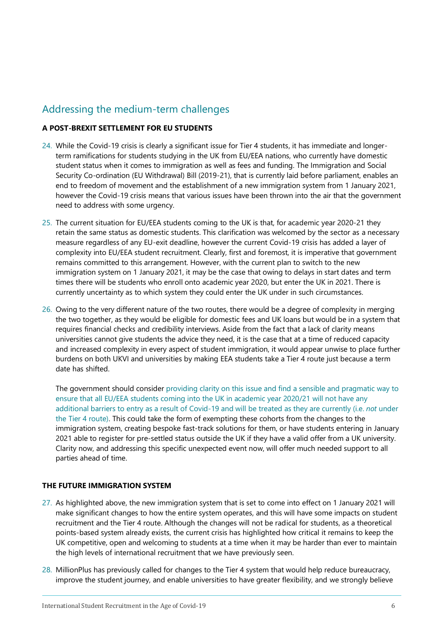## Addressing the medium-term challenges

#### **A POST-BREXIT SETTLEMENT FOR EU STUDENTS**

- 24. While the Covid-19 crisis is clearly a significant issue for Tier 4 students, it has immediate and longerterm ramifications for students studying in the UK from EU/EEA nations, who currently have domestic student status when it comes to immigration as well as fees and funding. The Immigration and Social Security Co-ordination (EU Withdrawal) Bill (2019-21), that is currently laid before parliament, enables an end to freedom of movement and the establishment of a new immigration system from 1 January 2021, however the Covid-19 crisis means that various issues have been thrown into the air that the government need to address with some urgency.
- 25. The current situation for EU/EEA students coming to the UK is that, for academic year 2020-21 they retain the same status as domestic students. This clarification was welcomed by the sector as a necessary measure regardless of any EU-exit deadline, however the current Covid-19 crisis has added a layer of complexity into EU/EEA student recruitment. Clearly, first and foremost, it is imperative that government remains committed to this arrangement. However, with the current plan to switch to the new immigration system on 1 January 2021, it may be the case that owing to delays in start dates and term times there will be students who enroll onto academic year 2020, but enter the UK in 2021. There is currently uncertainty as to which system they could enter the UK under in such circumstances.
- 26. Owing to the very different nature of the two routes, there would be a degree of complexity in merging the two together, as they would be eligible for domestic fees and UK loans but would be in a system that requires financial checks and credibility interviews. Aside from the fact that a lack of clarity means universities cannot give students the advice they need, it is the case that at a time of reduced capacity and increased complexity in every aspect of student immigration, it would appear unwise to place further burdens on both UKVI and universities by making EEA students take a Tier 4 route just because a term date has shifted.

The government should consider providing clarity on this issue and find a sensible and pragmatic way to ensure that all EU/EEA students coming into the UK in academic year 2020/21 will not have any additional barriers to entry as a result of Covid-19 and will be treated as they are currently (i.e. *not* under the Tier 4 route). This could take the form of exempting these cohorts from the changes to the immigration system, creating bespoke fast-track solutions for them, or have students entering in January 2021 able to register for pre-settled status outside the UK if they have a valid offer from a UK university. Clarity now, and addressing this specific unexpected event now, will offer much needed support to all parties ahead of time.

#### **THE FUTURE IMMIGRATION SYSTEM**

- 27. As highlighted above, the new immigration system that is set to come into effect on 1 January 2021 will make significant changes to how the entire system operates, and this will have some impacts on student recruitment and the Tier 4 route. Although the changes will not be radical for students, as a theoretical points-based system already exists, the current crisis has highlighted how critical it remains to keep the UK competitive, open and welcoming to students at a time when it may be harder than ever to maintain the high levels of international recruitment that we have previously seen.
- 28. MillionPlus has previously called for changes to the Tier 4 system that would help reduce bureaucracy, improve the student journey, and enable universities to have greater flexibility, and we strongly believe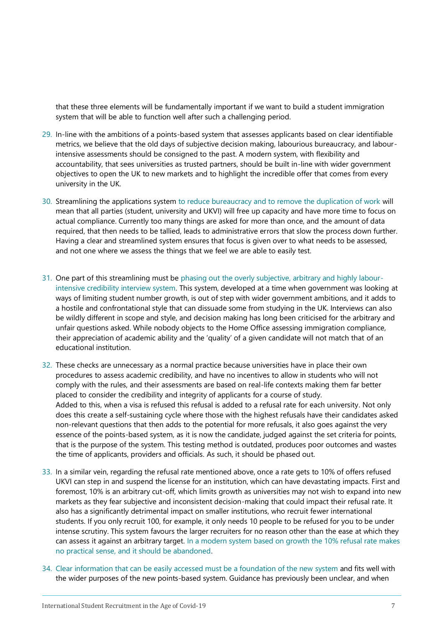that these three elements will be fundamentally important if we want to build a student immigration system that will be able to function well after such a challenging period.

- 29. In-line with the ambitions of a points-based system that assesses applicants based on clear identifiable metrics, we believe that the old days of subjective decision making, labourious bureaucracy, and labourintensive assessments should be consigned to the past. A modern system, with flexibility and accountability, that sees universities as trusted partners, should be built in-line with wider government objectives to open the UK to new markets and to highlight the incredible offer that comes from every university in the UK.
- 30. Streamlining the applications system to reduce bureaucracy and to remove the duplication of work will mean that all parties (student, university and UKVI) will free up capacity and have more time to focus on actual compliance. Currently too many things are asked for more than once, and the amount of data required, that then needs to be tallied, leads to administrative errors that slow the process down further. Having a clear and streamlined system ensures that focus is given over to what needs to be assessed, and not one where we assess the things that we feel we are able to easily test.
- 31. One part of this streamlining must be phasing out the overly subjective, arbitrary and highly labourintensive credibility interview system. This system, developed at a time when government was looking at ways of limiting student number growth, is out of step with wider government ambitions, and it adds to a hostile and confrontational style that can dissuade some from studying in the UK. Interviews can also be wildly different in scope and style, and decision making has long been criticised for the arbitrary and unfair questions asked. While nobody objects to the Home Office assessing immigration compliance, their appreciation of academic ability and the 'quality' of a given candidate will not match that of an educational institution.
- 32. These checks are unnecessary as a normal practice because universities have in place their own procedures to assess academic credibility, and have no incentives to allow in students who will not comply with the rules, and their assessments are based on real-life contexts making them far better placed to consider the credibility and integrity of applicants for a course of study. Added to this, when a visa is refused this refusal is added to a refusal rate for each university. Not only does this create a self-sustaining cycle where those with the highest refusals have their candidates asked non-relevant questions that then adds to the potential for more refusals, it also goes against the very essence of the points-based system, as it is now the candidate, judged against the set criteria for points, that is the purpose of the system. This testing method is outdated, produces poor outcomes and wastes the time of applicants, providers and officials. As such, it should be phased out.
- 33. In a similar vein, regarding the refusal rate mentioned above, once a rate gets to 10% of offers refused UKVI can step in and suspend the license for an institution, which can have devastating impacts. First and foremost, 10% is an arbitrary cut-off, which limits growth as universities may not wish to expand into new markets as they fear subjective and inconsistent decision-making that could impact their refusal rate. It also has a significantly detrimental impact on smaller institutions, who recruit fewer international students. If you only recruit 100, for example, it only needs 10 people to be refused for you to be under intense scrutiny. This system favours the larger recruiters for no reason other than the ease at which they can assess it against an arbitrary target. In a modern system based on growth the 10% refusal rate makes no practical sense, and it should be abandoned.
- 34. Clear information that can be easily accessed must be a foundation of the new system and fits well with the wider purposes of the new points-based system. Guidance has previously been unclear, and when